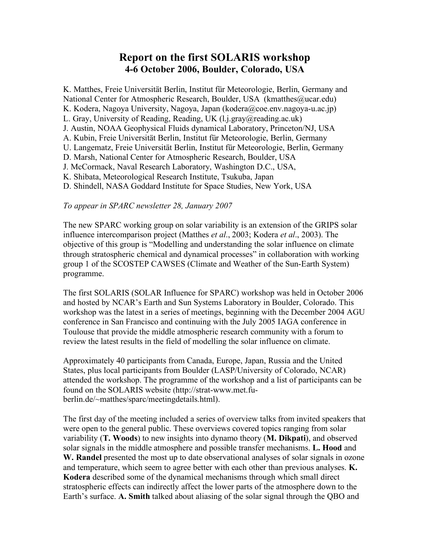# **Report on the first SOLARIS workshop 4-6 October 2006, Boulder, Colorado, USA**

K. Matthes, Freie Universität Berlin, Institut für Meteorologie, Berlin, Germany and National Center for Atmospheric Research, Boulder, USA (kmatthes@ucar.edu) K. Kodera, Nagoya University, Nagoya, Japan (kodera@coe.env.nagoya-u.ac.jp) L. Gray, University of Reading, Reading, UK (l.j.gray@reading.ac.uk) J. Austin, NOAA Geophysical Fluids dynamical Laboratory, Princeton/NJ, USA A. Kubin, Freie Universität Berlin, Institut für Meteorologie, Berlin, Germany U. Langematz, Freie Universität Berlin, Institut für Meteorologie, Berlin, Germany D. Marsh, National Center for Atmospheric Research, Boulder, USA J. McCormack, Naval Research Laboratory, Washington D.C., USA, K. Shibata, Meteorological Research Institute, Tsukuba, Japan D. Shindell, NASA Goddard Institute for Space Studies, New York, USA

#### *To appear in SPARC newsletter 28, January 2007*

The new SPARC working group on solar variability is an extension of the GRIPS solar influence intercomparison project (Matthes *et al*., 2003; Kodera *et al*., 2003). The objective of this group is "Modelling and understanding the solar influence on climate through stratospheric chemical and dynamical processes" in collaboration with working group 1 of the SCOSTEP CAWSES (Climate and Weather of the Sun-Earth System) programme.

The first SOLARIS (SOLAR Influence for SPARC) workshop was held in October 2006 and hosted by NCAR's Earth and Sun Systems Laboratory in Boulder, Colorado. This workshop was the latest in a series of meetings, beginning with the December 2004 AGU conference in San Francisco and continuing with the July 2005 IAGA conference in Toulouse that provide the middle atmospheric research community with a forum to review the latest results in the field of modelling the solar influence on climate.

Approximately 40 participants from Canada, Europe, Japan, Russia and the United States, plus local participants from Boulder (LASP/University of Colorado, NCAR) attended the workshop. The programme of the workshop and a list of participants can be found on the SOLARIS website (http://strat-www.met.fuberlin.de/~matthes/sparc/meetingdetails.html).

The first day of the meeting included a series of overview talks from invited speakers that were open to the general public. These overviews covered topics ranging from solar variability (**T. Woods**) to new insights into dynamo theory (**M. Dikpati**), and observed solar signals in the middle atmosphere and possible transfer mechanisms. **L. Hood** and **W. Randel** presented the most up to date observational analyses of solar signals in ozone and temperature, which seem to agree better with each other than previous analyses. **K. Kodera** described some of the dynamical mechanisms through which small direct stratospheric effects can indirectly affect the lower parts of the atmosphere down to the Earth's surface. **A. Smith** talked about aliasing of the solar signal through the QBO and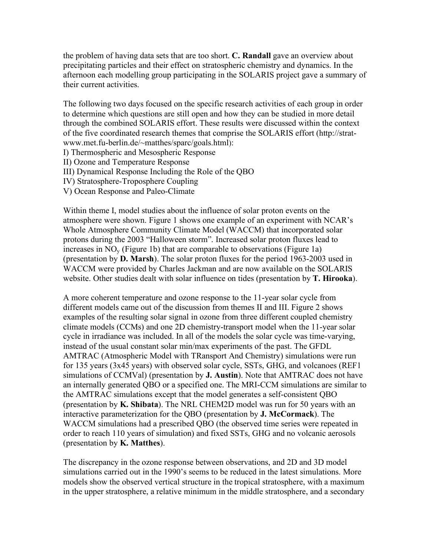the problem of having data sets that are too short. **C. Randall** gave an overview about precipitating particles and their effect on stratospheric chemistry and dynamics. In the afternoon each modelling group participating in the SOLARIS project gave a summary of their current activities.

The following two days focused on the specific research activities of each group in order to determine which questions are still open and how they can be studied in more detail through the combined SOLARIS effort. These results were discussed within the context of the five coordinated research themes that comprise the SOLARIS effort (http://stratwww.met.fu-berlin.de/~matthes/sparc/goals.html):

- I) Thermospheric and Mesospheric Response
- II) Ozone and Temperature Response
- III) Dynamical Response Including the Role of the QBO
- IV) Stratosphere-Troposphere Coupling
- V) Ocean Response and Paleo-Climate

Within theme I, model studies about the influence of solar proton events on the atmosphere were shown. Figure 1 shows one example of an experiment with NCAR's Whole Atmosphere Community Climate Model (WACCM) that incorporated solar protons during the 2003 "Halloween storm". Increased solar proton fluxes lead to increases in  $NO<sub>v</sub>$  (Figure 1b) that are comparable to observations (Figure 1a) (presentation by **D. Marsh**). The solar proton fluxes for the period 1963-2003 used in WACCM were provided by Charles Jackman and are now available on the SOLARIS website. Other studies dealt with solar influence on tides (presentation by **T. Hirooka**).

A more coherent temperature and ozone response to the 11-year solar cycle from different models came out of the discussion from themes II and III. Figure 2 shows examples of the resulting solar signal in ozone from three different coupled chemistry climate models (CCMs) and one 2D chemistry-transport model when the 11-year solar cycle in irradiance was included. In all of the models the solar cycle was time-varying, instead of the usual constant solar min/max experiments of the past. The GFDL AMTRAC (Atmospheric Model with TRansport And Chemistry) simulations were run for 135 years (3x45 years) with observed solar cycle, SSTs, GHG, and volcanoes (REF1 simulations of CCMVal) (presentation by **J. Austin**). Note that AMTRAC does not have an internally generated QBO or a specified one. The MRI-CCM simulations are similar to the AMTRAC simulations except that the model generates a self-consistent QBO (presentation by **K. Shibata**). The NRL CHEM2D model was run for 50 years with an interactive parameterization for the QBO (presentation by **J. McCormack**). The WACCM simulations had a prescribed QBO (the observed time series were repeated in order to reach 110 years of simulation) and fixed SSTs, GHG and no volcanic aerosols (presentation by **K. Matthes**).

The discrepancy in the ozone response between observations, and 2D and 3D model simulations carried out in the 1990's seems to be reduced in the latest simulations. More models show the observed vertical structure in the tropical stratosphere, with a maximum in the upper stratosphere, a relative minimum in the middle stratosphere, and a secondary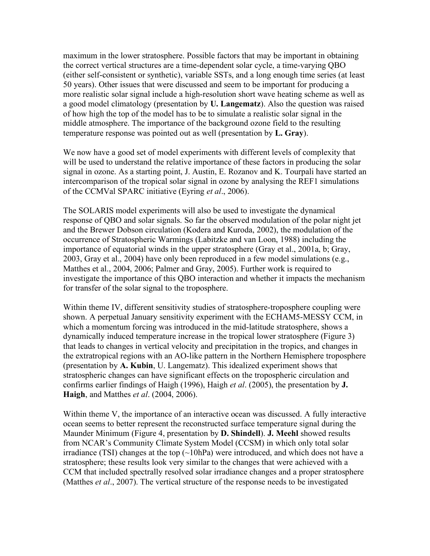maximum in the lower stratosphere. Possible factors that may be important in obtaining the correct vertical structures are a time-dependent solar cycle, a time-varying QBO (either self-consistent or synthetic), variable SSTs, and a long enough time series (at least 50 years). Other issues that were discussed and seem to be important for producing a more realistic solar signal include a high-resolution short wave heating scheme as well as a good model climatology (presentation by **U. Langematz**). Also the question was raised of how high the top of the model has to be to simulate a realistic solar signal in the middle atmosphere. The importance of the background ozone field to the resulting temperature response was pointed out as well (presentation by **L. Gray**).

We now have a good set of model experiments with different levels of complexity that will be used to understand the relative importance of these factors in producing the solar signal in ozone. As a starting point, J. Austin, E. Rozanov and K. Tourpali have started an intercomparison of the tropical solar signal in ozone by analysing the REF1 simulations of the CCMVal SPARC initiative (Eyring *et al*., 2006).

The SOLARIS model experiments will also be used to investigate the dynamical response of QBO and solar signals. So far the observed modulation of the polar night jet and the Brewer Dobson circulation (Kodera and Kuroda, 2002), the modulation of the occurrence of Stratospheric Warmings (Labitzke and van Loon, 1988) including the importance of equatorial winds in the upper stratosphere (Gray et al., 2001a, b; Gray, 2003, Gray et al., 2004) have only been reproduced in a few model simulations (e.g., Matthes et al., 2004, 2006; Palmer and Gray, 2005). Further work is required to investigate the importance of this QBO interaction and whether it impacts the mechanism for transfer of the solar signal to the troposphere.

Within theme IV, different sensitivity studies of stratosphere-troposphere coupling were shown. A perpetual January sensitivity experiment with the ECHAM5-MESSY CCM, in which a momentum forcing was introduced in the mid-latitude stratosphere, shows a dynamically induced temperature increase in the tropical lower stratosphere (Figure 3) that leads to changes in vertical velocity and precipitation in the tropics, and changes in the extratropical regions with an AO-like pattern in the Northern Hemisphere troposphere (presentation by **A. Kubin**, U. Langematz). This idealized experiment shows that stratospheric changes can have significant effects on the tropospheric circulation and confirms earlier findings of Haigh (1996), Haigh *et al*. (2005), the presentation by **J. Haigh**, and Matthes *et al*. (2004, 2006).

Within theme V, the importance of an interactive ocean was discussed. A fully interactive ocean seems to better represent the reconstructed surface temperature signal during the Maunder Minimum (Figure 4, presentation by **D. Shindell**). **J. Meehl** showed results from NCAR's Community Climate System Model (CCSM) in which only total solar irradiance (TSI) changes at the top  $(\sim 10hPa)$  were introduced, and which does not have a stratosphere; these results look very similar to the changes that were achieved with a CCM that included spectrally resolved solar irradiance changes and a proper stratosphere (Matthes *et al*., 2007). The vertical structure of the response needs to be investigated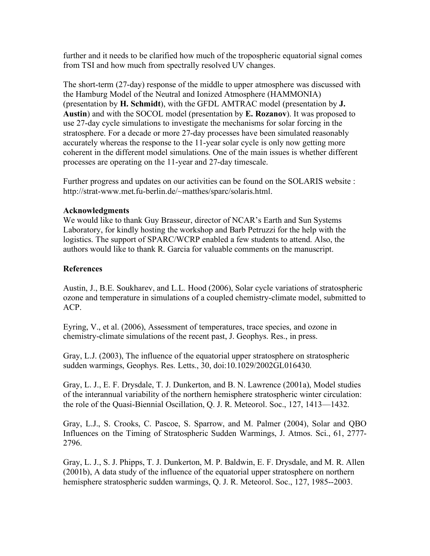further and it needs to be clarified how much of the tropospheric equatorial signal comes from TSI and how much from spectrally resolved UV changes.

The short-term (27-day) response of the middle to upper atmosphere was discussed with the Hamburg Model of the Neutral and Ionized Atmosphere (HAMMONIA) (presentation by **H. Schmidt**), with the GFDL AMTRAC model (presentation by **J. Austin**) and with the SOCOL model (presentation by **E. Rozanov**). It was proposed to use 27-day cycle simulations to investigate the mechanisms for solar forcing in the stratosphere. For a decade or more 27-day processes have been simulated reasonably accurately whereas the response to the 11-year solar cycle is only now getting more coherent in the different model simulations. One of the main issues is whether different processes are operating on the 11-year and 27-day timescale.

Further progress and updates on our activities can be found on the SOLARIS website : http://strat-www.met.fu-berlin.de/~matthes/sparc/solaris.html.

## **Acknowledgments**

We would like to thank Guy Brasseur, director of NCAR's Earth and Sun Systems Laboratory, for kindly hosting the workshop and Barb Petruzzi for the help with the logistics. The support of SPARC/WCRP enabled a few students to attend. Also, the authors would like to thank R. Garcia for valuable comments on the manuscript.

## **References**

Austin, J., B.E. Soukharev, and L.L. Hood (2006), Solar cycle variations of stratospheric ozone and temperature in simulations of a coupled chemistry-climate model, submitted to ACP.

Eyring, V., et al. (2006), Assessment of temperatures, trace species, and ozone in chemistry-climate simulations of the recent past, J. Geophys. Res., in press.

Gray, L.J. (2003), The influence of the equatorial upper stratosphere on stratospheric sudden warmings, Geophys. Res. Letts., 30, doi:10.1029/2002GL016430.

Gray, L. J., E. F. Drysdale, T. J. Dunkerton, and B. N. Lawrence (2001a), Model studies of the interannual variability of the northern hemisphere stratospheric winter circulation: the role of the Quasi-Biennial Oscillation, Q. J. R. Meteorol. Soc., 127, 1413—1432.

Gray, L.J., S. Crooks, C. Pascoe, S. Sparrow, and M. Palmer (2004), Solar and QBO Influences on the Timing of Stratospheric Sudden Warmings, J. Atmos. Sci., 61, 2777- 2796.

Gray, L. J., S. J. Phipps, T. J. Dunkerton, M. P. Baldwin, E. F. Drysdale, and M. R. Allen (2001b), A data study of the influence of the equatorial upper stratosphere on northern hemisphere stratospheric sudden warmings, Q. J. R. Meteorol. Soc., 127, 1985--2003.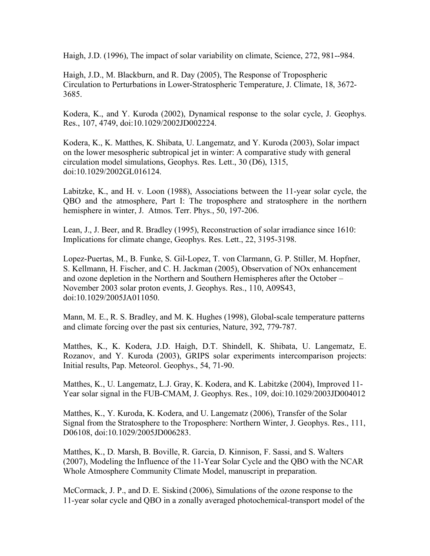Haigh, J.D. (1996), The impact of solar variability on climate, Science, 272, 981--984.

Haigh, J.D., M. Blackburn, and R. Day (2005), The Response of Tropospheric Circulation to Perturbations in Lower-Stratospheric Temperature, J. Climate, 18, 3672- 3685.

Kodera, K., and Y. Kuroda (2002), Dynamical response to the solar cycle, J. Geophys. Res., 107, 4749, doi:10.1029/2002JD002224.

Kodera, K., K. Matthes, K. Shibata, U. Langematz, and Y. Kuroda (2003), Solar impact on the lower mesospheric subtropical jet in winter: A comparative study with general circulation model simulations, Geophys. Res. Lett., 30 (D6), 1315, doi:10.1029/2002GL016124.

Labitzke, K., and H. v. Loon (1988), Associations between the 11-year solar cycle, the QBO and the atmosphere, Part I: The troposphere and stratosphere in the northern hemisphere in winter, J. Atmos. Terr. Phys., 50, 197-206.

Lean, J., J. Beer, and R. Bradley (1995), Reconstruction of solar irradiance since 1610: Implications for climate change, Geophys. Res. Lett., 22, 3195-3198.

Lopez-Puertas, M., B. Funke, S. Gil-Lopez, T. von Clarmann, G. P. Stiller, M. Hopfner, S. Kellmann, H. Fischer, and C. H. Jackman (2005), Observation of NOx enhancement and ozone depletion in the Northern and Southern Hemispheres after the October – November 2003 solar proton events, J. Geophys. Res., 110, A09S43, doi:10.1029/2005JA011050.

Mann, M. E., R. S. Bradley, and M. K. Hughes (1998), Global-scale temperature patterns and climate forcing over the past six centuries, Nature, 392, 779-787.

Matthes, K., K. Kodera, J.D. Haigh, D.T. Shindell, K. Shibata, U. Langematz, E. Rozanov, and Y. Kuroda (2003), GRIPS solar experiments intercomparison projects: Initial results, Pap. Meteorol. Geophys., 54, 71-90.

Matthes, K., U. Langematz, L.J. Gray, K. Kodera, and K. Labitzke (2004), Improved 11- Year solar signal in the FUB-CMAM, J. Geophys. Res., 109, doi:10.1029/2003JD004012

Matthes, K., Y. Kuroda, K. Kodera, and U. Langematz (2006), Transfer of the Solar Signal from the Stratosphere to the Troposphere: Northern Winter, J. Geophys. Res., 111, D06108, doi:10.1029/2005JD006283.

Matthes, K., D. Marsh, B. Boville, R. Garcia, D. Kinnison, F. Sassi, and S. Walters (2007), Modeling the Influence of the 11-Year Solar Cycle and the QBO with the NCAR Whole Atmosphere Community Climate Model, manuscript in preparation.

McCormack, J. P., and D. E. Siskind (2006), Simulations of the ozone response to the 11-year solar cycle and QBO in a zonally averaged photochemical-transport model of the